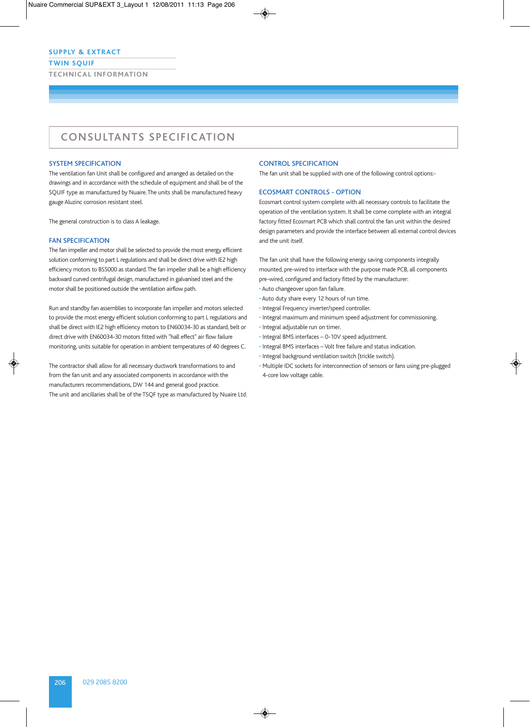### **TWIN SQUIF**

**TECHNIC AL INFORMATION**

# CONSULTANTS SPECIFICATION

### SYSTEM SPECIFICATION

The ventilation fan Unit shall be configured and arranged as detailed on the drawings and in accordance with the schedule of equipment and shall be of the SQUIF type as manufactured by Nuaire. The units shall be manufactured heavy gauge Aluzinc corrosion resistant steel.

The general construction is to class A leakage.

## FAN SPECIFICATION

The fan impeller and motor shall be selected to provide the most energy efficient solution conforming to part L regulations and shall be direct drive with IE2 high efficiency motors to BS5000 as standard. The fan impeller shall be a high efficiency backward curved centrifugal design, manufactured in galvanised steel and the motor shall be positioned outside the ventilation airflow path.

Run and standby fan assemblies to incorporate fan impeller and motors selected to provide the most energy efficient solution conforming to part L regulations and shall be direct with IE2 high efficiency motors to EN60034-30 as standard, belt or direct drive with EN60034-30 motors fitted with "hall effect" air flow failure monitoring, units suitable for operation in ambient temperatures of 40 degrees C.

The contractor shall allow for all necessary ductwork transformations to and from the fan unit and any associated components in accordance with the manufacturers recommendations, DW 144 and general good practice. The unit and ancillaries shall be of the TSQF type as manufactured by Nuaire Ltd.

#### CONTROL SPECIFICATION

The fan unit shall be supplied with one of the following control options:-

## ECOSMART CONTROLS - OPTION

Ecosmart control system complete with all necessary controls to facilitate the operation of the ventilation system. It shall be come complete with an integral factory fitted Ecosmart PCB which shall control the fan unit within the desired design parameters and provide the interface between all external control devices and the unit itself.

The fan unit shall have the following energy saving components integrally mounted, pre-wired to interface with the purpose made PCB, all components pre-wired, configured and factory fitted by the manufacturer:

- Auto changeover upon fan failure.
- Auto duty share every 12 hours of run time.
- Integral Frequency inverter/speed controller.
- Integral maximum and minimum speed adjustment for commissioning.
- Integral adjustable run on timer.
- Integral BMS interfaces 0-10V speed adjustment.
- Integral BMS interfaces Volt free failure and status indication.
- Integral background ventilation switch (trickle switch).
- Multiple IDC sockets for interconnection of sensors or fans using pre-plugged 4-core low voltage cable.